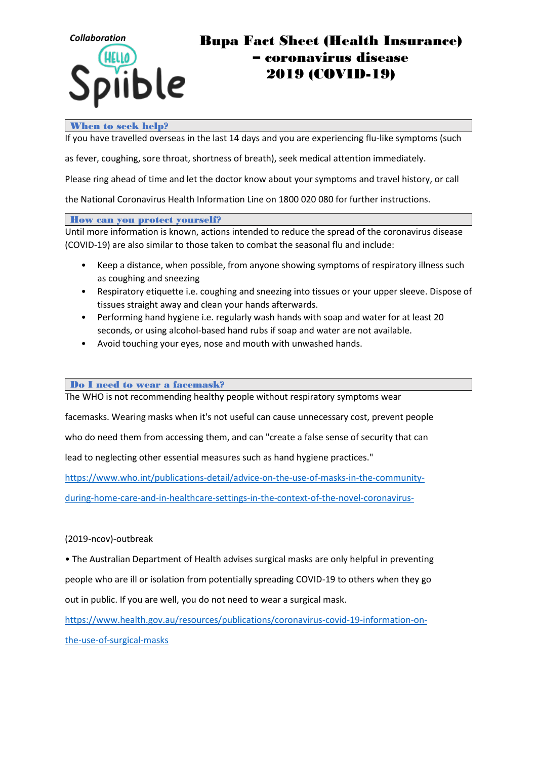

# *Collaboration* Bupa Fact Sheet (Health Insurance) oronavirus disease 2019 (COVID-19)

### When to seek help?

If you have travelled overseas in the last 14 days and you are experiencing flu-like symptoms (such

as fever, coughing, sore throat, shortness of breath), seek medical attention immediately.

Please ring ahead of time and let the doctor know about your symptoms and travel history, or call

the National Coronavirus Health Information Line on 1800 020 080 for further instructions.

How can you protect yourself?

Until more information is known, actions intended to reduce the spread of the coronavirus disease (COVID-19) are also similar to those taken to combat the seasonal flu and include:

- Keep a distance, when possible, from anyone showing symptoms of respiratory illness such as coughing and sneezing
- Respiratory etiquette i.e. coughing and sneezing into tissues or your upper sleeve. Dispose of tissues straight away and clean your hands afterwards.
- Performing hand hygiene i.e. regularly wash hands with soap and water for at least 20 seconds, or using alcohol-based hand rubs if soap and water are not available.
- Avoid touching your eyes, nose and mouth with unwashed hands.

**Do I need to wear a facemask?** 

The WHO is not recommending healthy people without respiratory symptoms wear

facemasks. Wearing masks when it's not useful can cause unnecessary cost, prevent people

who do need them from accessing them, and can "create a false sense of security that can

lead to neglecting other essential measures such as hand hygiene practices."

<https://www.who.int/publications-detail/advice-on-the-use-of-masks-in-the-community->

[during-home-care-and-in-healthcare-settings-in-the-context-of-the-novel-coronavirus-](https://www.who.int/publications-detail/advice-on-the-use-of-masks-in-the-community-)

#### (2019-ncov)-outbreak

• The Australian Department of Health advises surgical masks are only helpful in preventing people who are ill or isolation from potentially spreading COVID-19 to others when they go out in public. If you are well, you do not need to wear a surgical mask.

<https://www.health.gov.au/resources/publications/coronavirus-covid-19-information-on->

[the-use-of-surgical-masks](https://www.health.gov.au/resources/publications/coronavirus-covid-19-information-on-)